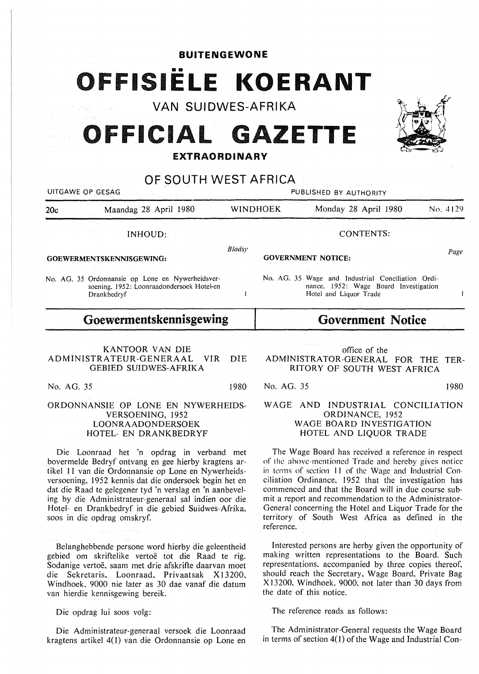**BUITENGEWONE** 

## •• **FFISIELE KOERANT**

**VAN SUIDWES-AFRIKA** 

## **OFFICIAL GAZETTE**

## **EXTRAORDINARY**



Die Loonraad het 'n opdrag in verband met bovermelde Bedryf ontvang en gee hierby kragtens artikel 11 van die Ordonnansie op Lone en Nywerheidsversoening. 1952 kennis dat die ondersoek begin het en dat die Raad te gelegener tyd 'n verslag en 'n aanbeveling by die Administrateur-generaal sal indien oor die Hotel- en Drankbedryf in die gebied Suidwes-Afrika, soos in die opdrag omskryf.

Belanghebbende persone word hierby die geleentheid gebied om skriftelike vertoe tot die Raad te rig. Sodanige vertoe, saam met drie afskrifte daarvan moet die Sekretaris, Loonraad, Privaatsak X13200, Windhoek, 9000 nie later as 30 dae vanaf die datum van hierdie kennisgewing bereik.

Die opdrag lui soos volg:

Die Administrateur-generaal versoek die Loonraad kragtens artikel 4( 1) van die Ordonnansie op Lone en

General concerning the Hotel and Liquor Trade for the territory of South West Africa as defined in the reference. Interested persons are herby given the opportunity of making written representations to the Board. Such representations, accompanied by three copies thereof, should reach the Secretary, Wage Board, Private Bag X 13200, Windhoek, 9000, not later than 30 days from

The Wage Board has received a reference in respect or the above-mentioned Trade and hereby gives notice in terms of section 11 of the Wage and Industrial Conciliation Ordinance, 1952 that the investigation has commenced and that the Board will in due course submit a report and recommendation to the Administrator-

The reference reads as follows:

the date of this notice.

The Administrator-General requests the Wage Board in terms of section  $4(1)$  of the Wage and Industrial Con